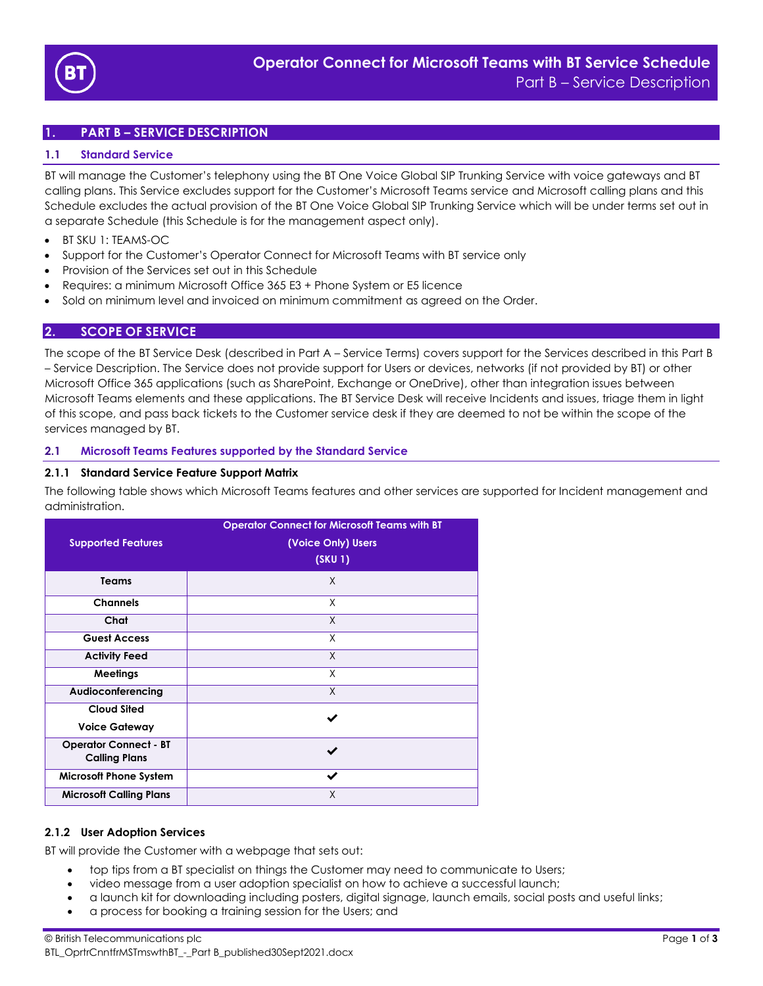

# **1. PART B – SERVICE DESCRIPTION**

## **1.1 Standard Service**

BT will manage the Customer's telephony using the BT One Voice Global SIP Trunking Service with voice gateways and BT calling plans. This Service excludes support for the Customer's Microsoft Teams service and Microsoft calling plans and this Schedule excludes the actual provision of the BT One Voice Global SIP Trunking Service which will be under terms set out in a separate Schedule (this Schedule is for the management aspect only).

- BT SKU 1: TEAMS-OC
- Support for the Customer's Operator Connect for Microsoft Teams with BT service only
- Provision of the Services set out in this Schedule
- Requires: a minimum Microsoft Office 365 E3 + Phone System or E5 licence
- Sold on minimum level and invoiced on minimum commitment as agreed on the Order.

## **2. SCOPE OF SERVICE**

The scope of the BT Service Desk (described in Part A – Service Terms) covers support for the Services described in this Part B – Service Description. The Service does not provide support for Users or devices, networks (if not provided by BT) or other Microsoft Office 365 applications (such as SharePoint, Exchange or OneDrive), other than integration issues between Microsoft Teams elements and these applications. The BT Service Desk will receive Incidents and issues, triage them in light of this scope, and pass back tickets to the Customer service desk if they are deemed to not be within the scope of the services managed by BT.

#### **2.1 Microsoft Teams Features supported by the Standard Service**

#### **2.1.1 Standard Service Feature Support Matrix**

The following table shows which Microsoft Teams features and other services are supported for Incident management and administration.

| <b>Supported Features</b>                            | <b>Operator Connect for Microsoft Teams with BT</b><br>(Voice Only) Users<br>(SKU 1) |  |  |
|------------------------------------------------------|--------------------------------------------------------------------------------------|--|--|
| <b>Teams</b>                                         | X                                                                                    |  |  |
| <b>Channels</b>                                      | X                                                                                    |  |  |
| Chat                                                 | X                                                                                    |  |  |
| <b>Guest Access</b>                                  | X                                                                                    |  |  |
| <b>Activity Feed</b>                                 | $\times$                                                                             |  |  |
| <b>Meetings</b>                                      | X                                                                                    |  |  |
| Audioconferencing                                    | X                                                                                    |  |  |
| <b>Cloud Sited</b><br><b>Voice Gateway</b>           |                                                                                      |  |  |
| <b>Operator Connect - BT</b><br><b>Calling Plans</b> |                                                                                      |  |  |
| <b>Microsoft Phone System</b>                        | ✔                                                                                    |  |  |
| <b>Microsoft Calling Plans</b>                       | X                                                                                    |  |  |

#### **2.1.2 User Adoption Services**

BT will provide the Customer with a webpage that sets out:

- top tips from a BT specialist on things the Customer may need to communicate to Users;
- video message from a user adoption specialist on how to achieve a successful launch;
- a launch kit for downloading including posters, digital signage, launch emails, social posts and useful links;
- a process for booking a training session for the Users; and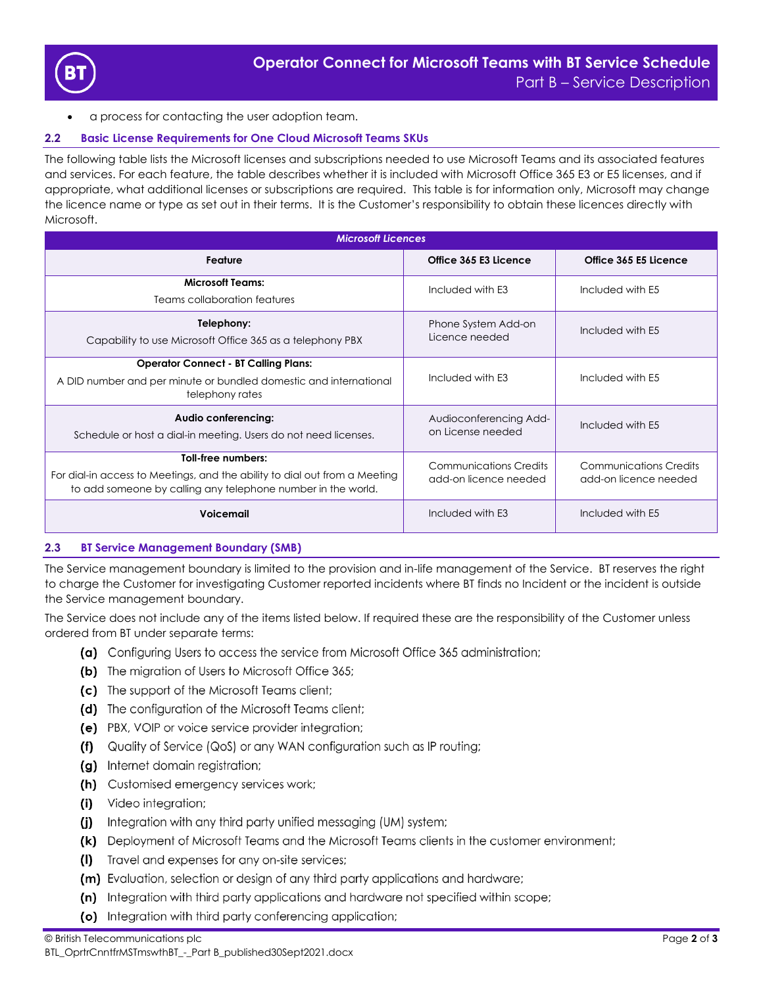

• a process for contacting the user adoption team.

# **2.2 Basic License Requirements for One Cloud Microsoft Teams SKUs**

The following table lists the Microsoft licenses and subscriptions needed to use Microsoft Teams and its associated features and services. For each feature, the table describes whether it is included with Microsoft Office 365 E3 or E5 licenses, and if appropriate, what additional licenses or subscriptions are required. This table is for information only, Microsoft may change the licence name or type as set out in their terms. It is the Customer's responsibility to obtain these licences directly with Microsoft.

| <b>Microsoft Licences</b>                                                                                                                                        |                                                        |                                                        |  |  |  |  |
|------------------------------------------------------------------------------------------------------------------------------------------------------------------|--------------------------------------------------------|--------------------------------------------------------|--|--|--|--|
| Feature                                                                                                                                                          | Office 365 E3 Licence                                  | Office 365 E5 Licence                                  |  |  |  |  |
| <b>Microsoft Teams:</b><br>Teams collaboration features                                                                                                          | Included with E3                                       | Included with E5                                       |  |  |  |  |
| Telephony:<br>Capability to use Microsoft Office 365 as a telephony PBX                                                                                          | Phone System Add-on<br>Licence needed                  | Included with F5                                       |  |  |  |  |
| <b>Operator Connect - BT Calling Plans:</b><br>A DID number and per minute or bundled domestic and international<br>telephony rates                              | Included with E3                                       | Included with E5                                       |  |  |  |  |
| Audio conferencing:<br>Schedule or host a dial-in meeting. Users do not need licenses.                                                                           | Audioconferencing Add-<br>on License needed            | Included with E5                                       |  |  |  |  |
| Toll-free numbers:<br>For dial-in access to Meetings, and the ability to dial out from a Meeting<br>to add someone by calling any telephone number in the world. | <b>Communications Credits</b><br>add-on licence needed | <b>Communications Credits</b><br>add-on licence needed |  |  |  |  |
| <b>Voicemail</b>                                                                                                                                                 | Included with E3                                       | Included with E5                                       |  |  |  |  |

#### **2.3 BT Service Management Boundary (SMB)**

The Service management boundary is limited to the provision and in-life management of the Service. BT reserves the right to charge the Customer for investigating Customer reported incidents where BT finds no Incident or the incident is outside the Service management boundary.

The Service does not include any of the items listed below. If required these are the responsibility of the Customer unless ordered from BT under separate terms:

- (a) Configuring Users to access the service from Microsoft Office 365 administration;
- (b) The migration of Users to Microsoft Office 365;
- (c) The support of the Microsoft Teams client;
- (d) The configuration of the Microsoft Teams client;
- (e) PBX, VOIP or voice service provider integration;
- (f) Quality of Service (QoS) or any WAN configuration such as IP routing;
- (g) Internet domain registration;
- (h) Customised emergency services work;
- (i) Video integration;
- (i) Integration with any third party unified messaging (UM) system;
- (k) Deployment of Microsoft Teams and the Microsoft Teams clients in the customer environment;
- (I) Travel and expenses for any on-site services;
- (m) Evaluation, selection or design of any third party applications and hardware;
- (n) Integration with third party applications and hardware not specified within scope;
- (o) Integration with third party conferencing application;